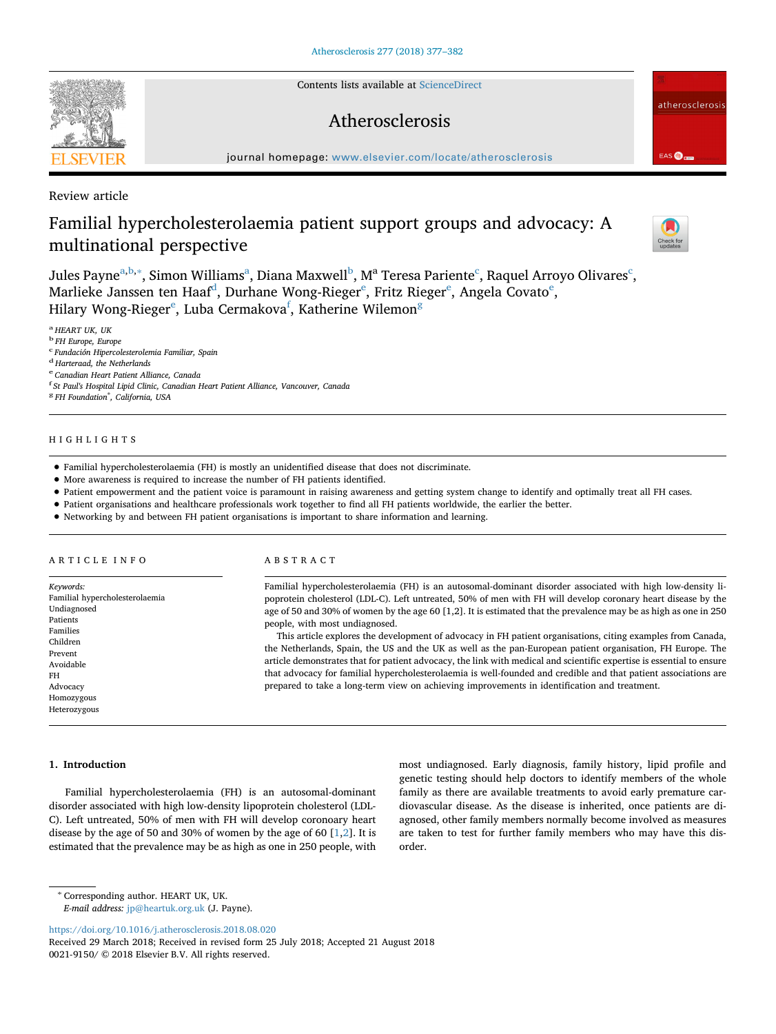Contents lists available at [ScienceDirect](http://www.sciencedirect.com/science/journal/00219150)

# Atherosclerosis

journal homepage: [www.elsevier.com/locate/atherosclerosis](https://www.elsevier.com/locate/atherosclerosis)

Review article

# Familial hypercholesterolaemia patient support groups and advocacy: A multinational perspective



EAS **O** 

atherosclerosis

Jules P[a](#page-0-0)yne $^{\rm a,b,*}$  $^{\rm a,b,*}$  $^{\rm a,b,*}$ , Simon Williams $^{\rm a}$ , Diana Maxwell $^{\rm b}$  $^{\rm b}$  $^{\rm b}$ , M $^{\rm a}$  Teresa Pariente $^{\rm c}$  $^{\rm c}$  $^{\rm c}$ , Raquel Arroyo Olivares $^{\rm c}$ , Marli[e](#page-0-5)ke Janssen ten Haaf $^{\text{d}}$  $^{\text{d}}$  $^{\text{d}}$ , Durhane Wong-Rieger $^{\text{e}}$ , Fritz Rieger $^{\text{e}}$ , Angela Covato $^{\text{e}}$ , Hilary Wong-Ri[e](#page-0-5)[g](#page-0-7)er<sup>e</sup>, Luba Cermakova<sup>f</sup>, Katherine Wilemon<sup>g</sup>

<span id="page-0-0"></span><sup>a</sup> *HEART UK, UK*

<span id="page-0-1"></span><sup>b</sup> *FH Europe, Europe*

- <span id="page-0-3"></span>c *Fundación Hipercolesterolemia Familiar, Spain*
- <span id="page-0-4"></span><sup>d</sup> *Harteraad, the Netherlands*

<span id="page-0-6"></span>f *St Paul's Hospital Lipid Clinic, Canadian Heart Patient Alliance, Vancouver, Canada*

<span id="page-0-7"></span><sup>g</sup> *FH Foundation*® *, California, USA*

# HIGHLIGHTS

- Familial hypercholesterolaemia (FH) is mostly an unidentified disease that does not discriminate.
- More awareness is required to increase the number of FH patients identified.
- Patient empowerment and the patient voice is paramount in raising awareness and getting system change to identify and optimally treat all FH cases.
- Patient organisations and healthcare professionals work together to find all FH patients worldwide, the earlier the better.
- Networking by and between FH patient organisations is important to share information and learning.

| ARTICLE INFO                                                                                                                                           | ABSTRACT                                                                                                                                                                                                                                                                                                                                                                                                                                                                                                                                                                                                                                                                                                                                                                                                                                                                                                                                                  |
|--------------------------------------------------------------------------------------------------------------------------------------------------------|-----------------------------------------------------------------------------------------------------------------------------------------------------------------------------------------------------------------------------------------------------------------------------------------------------------------------------------------------------------------------------------------------------------------------------------------------------------------------------------------------------------------------------------------------------------------------------------------------------------------------------------------------------------------------------------------------------------------------------------------------------------------------------------------------------------------------------------------------------------------------------------------------------------------------------------------------------------|
| Keywords:<br>Familial hypercholesterolaemia<br>Undiagnosed<br>Patients<br>Families<br>Children<br>Prevent<br>Avoidable<br>FH<br>Advocacy<br>Homozygous | Familial hypercholesterolaemia (FH) is an autosomal-dominant disorder associated with high low-density li-<br>poprotein cholesterol (LDL-C). Left untreated, 50% of men with FH will develop coronary heart disease by the<br>age of 50 and 30% of women by the age 60 [1,2]. It is estimated that the prevalence may be as high as one in 250<br>people, with most undiagnosed.<br>This article explores the development of advocacy in FH patient organisations, citing examples from Canada,<br>the Netherlands, Spain, the US and the UK as well as the pan-European patient organisation, FH Europe. The<br>article demonstrates that for patient advocacy, the link with medical and scientific expertise is essential to ensure<br>that advocacy for familial hypercholesterolaemia is well-founded and credible and that patient associations are<br>prepared to take a long-term view on achieving improvements in identification and treatment. |

**1. Introduction**

Heterozygous

Familial hypercholesterolaemia (FH) is an autosomal-dominant disorder associated with high low-density lipoprotein cholesterol (LDL-C). Left untreated, 50% of men with FH will develop coronoary heart disease by the age of 50 and 30% of women by the age of 60  $[1,2]$  $[1,2]$  $[1,2]$ . It is estimated that the prevalence may be as high as one in 250 people, with

most undiagnosed. Early diagnosis, family history, lipid profile and genetic testing should help doctors to identify members of the whole family as there are available treatments to avoid early premature cardiovascular disease. As the disease is inherited, once patients are diagnosed, other family members normally become involved as measures are taken to test for further family members who may have this disorder.

<span id="page-0-2"></span><sup>∗</sup> Corresponding author. HEART UK, UK.

*E-mail address:* [jp@heartuk.org.uk](mailto:jp@heartuk.org.uk) (J. Payne).

<https://doi.org/10.1016/j.atherosclerosis.2018.08.020>

Received 29 March 2018; Received in revised form 25 July 2018; Accepted 21 August 2018 0021-9150/ © 2018 Elsevier B.V. All rights reserved.



<span id="page-0-5"></span><sup>e</sup> *Canadian Heart Patient Alliance, Canada*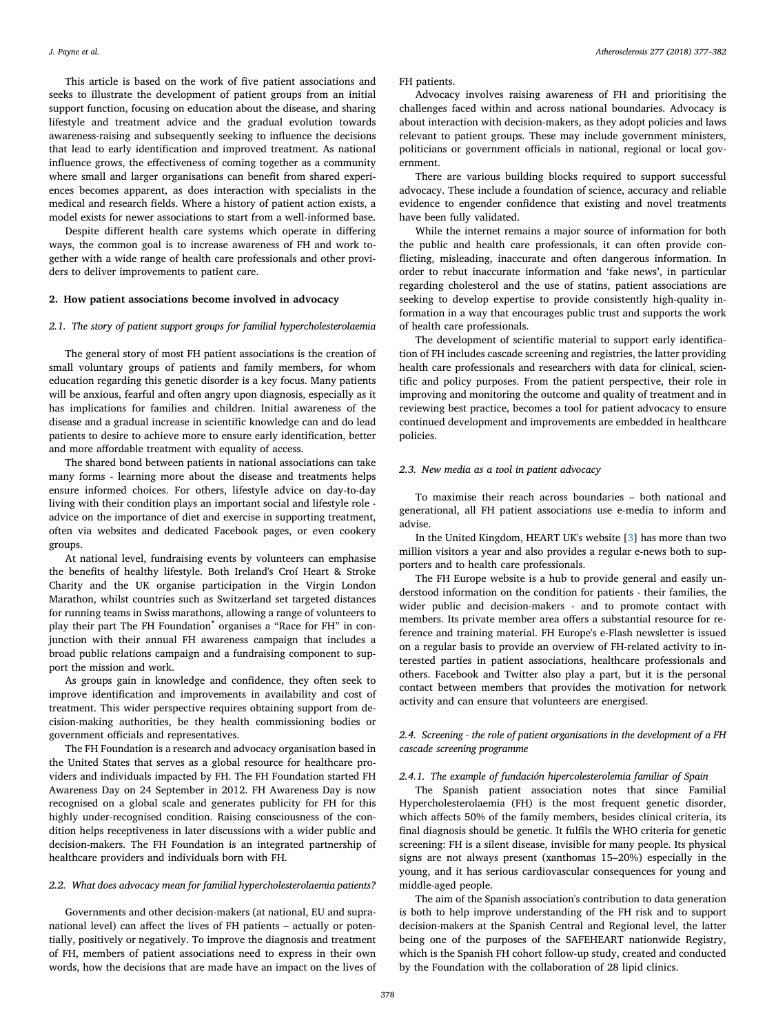*J. Payne et al. Atherosclerosis 277 (2018) 377–382*

This article is based on the work of five patient associations and seeks to illustrate the development of patient groups from an initial support function, focusing on education about the disease, and sharing lifestyle and treatment advice and the gradual evolution towards awareness-raising and subsequently seeking to influence the decisions that lead to early identification and improved treatment. As national influence grows, the effectiveness of coming together as a community where small and larger organisations can benefit from shared experiences becomes apparent, as does interaction with specialists in the medical and research fields. Where a history of patient action exists, a model exists for newer associations to start from a well-informed base.

Despite different health care systems which operate in differing ways, the common goal is to increase awareness of FH and work together with a wide range of health care professionals and other providers to deliver improvements to patient care.

# **2. How patient associations become involved in advocacy**

## *2.1. The story of patient support groups for familial hypercholesterolaemia*

The general story of most FH patient associations is the creation of small voluntary groups of patients and family members, for whom education regarding this genetic disorder is a key focus. Many patients will be anxious, fearful and often angry upon diagnosis, especially as it has implications for families and children. Initial awareness of the disease and a gradual increase in scientific knowledge can and do lead patients to desire to achieve more to ensure early identification, better and more affordable treatment with equality of access.

The shared bond between patients in national associations can take many forms - learning more about the disease and treatments helps ensure informed choices. For others, lifestyle advice on day-to-day living with their condition plays an important social and lifestyle role advice on the importance of diet and exercise in supporting treatment, often via websites and dedicated Facebook pages, or even cookery groups.

At national level, fundraising events by volunteers can emphasise the benefits of healthy lifestyle. Both Ireland's Croí Heart & Stroke Charity and the UK organise participation in the Virgin London Marathon, whilst countries such as Switzerland set targeted distances for running teams in Swiss marathons, allowing a range of volunteers to play their part The FH Foundation<sup>®</sup> organises a "Race for FH" in conjunction with their annual FH awareness campaign that includes a broad public relations campaign and a fundraising component to support the mission and work.

As groups gain in knowledge and confidence, they often seek to improve identification and improvements in availability and cost of treatment. This wider perspective requires obtaining support from decision-making authorities, be they health commissioning bodies or government officials and representatives.

The FH Foundation is a research and advocacy organisation based in the United States that serves as a global resource for healthcare providers and individuals impacted by FH. The FH Foundation started FH Awareness Day on 24 September in 2012. FH Awareness Day is now recognised on a global scale and generates publicity for FH for this highly under-recognised condition. Raising consciousness of the condition helps receptiveness in later discussions with a wider public and decision-makers. The FH Foundation is an integrated partnership of healthcare providers and individuals born with FH.

# *2.2. What does advocacy mean for familial hypercholesterolaemia patients?*

Governments and other decision-makers (at national, EU and supranational level) can affect the lives of FH patients – actually or potentially, positively or negatively. To improve the diagnosis and treatment of FH, members of patient associations need to express in their own words, how the decisions that are made have an impact on the lives of

#### FH patients.

Advocacy involves raising awareness of FH and prioritising the challenges faced within and across national boundaries. Advocacy is about interaction with decision-makers, as they adopt policies and laws relevant to patient groups. These may include government ministers, politicians or government officials in national, regional or local government.

There are various building blocks required to support successful advocacy. These include a foundation of science, accuracy and reliable evidence to engender confidence that existing and novel treatments have been fully validated.

While the internet remains a major source of information for both the public and health care professionals, it can often provide conflicting, misleading, inaccurate and often dangerous information. In order to rebut inaccurate information and 'fake news', in particular regarding cholesterol and the use of statins, patient associations are seeking to develop expertise to provide consistently high-quality information in a way that encourages public trust and supports the work of health care professionals.

The development of scientific material to support early identification of FH includes cascade screening and registries, the latter providing health care professionals and researchers with data for clinical, scientific and policy purposes. From the patient perspective, their role in improving and monitoring the outcome and quality of treatment and in reviewing best practice, becomes a tool for patient advocacy to ensure continued development and improvements are embedded in healthcare policies.

### *2.3. New media as a tool in patient advocacy*

To maximise their reach across boundaries – both national and generational, all FH patient associations use e-media to inform and advise.

In the United Kingdom, HEART UK's website [[3](#page-5-2)] has more than two million visitors a year and also provides a regular e-news both to supporters and to health care professionals.

The FH Europe website is a hub to provide general and easily understood information on the condition for patients - their families, the wider public and decision-makers - and to promote contact with members. Its private member area offers a substantial resource for reference and training material. FH Europe's e-Flash newsletter is issued on a regular basis to provide an overview of FH-related activity to interested parties in patient associations, healthcare professionals and others. Facebook and Twitter also play a part, but it is the personal contact between members that provides the motivation for network activity and can ensure that volunteers are energised.

# *2.4. Screening - the role of patient organisations in the development of a FH cascade screening programme*

# *2.4.1. The example of fundación hipercolesterolemia familiar of Spain*

The Spanish patient association notes that since Familial Hypercholesterolaemia (FH) is the most frequent genetic disorder, which affects 50% of the family members, besides clinical criteria, its final diagnosis should be genetic. It fulfils the WHO criteria for genetic screening: FH is a silent disease, invisible for many people. Its physical signs are not always present (xanthomas 15–20%) especially in the young, and it has serious cardiovascular consequences for young and middle-aged people.

The aim of the Spanish association's contribution to data generation is both to help improve understanding of the FH risk and to support decision-makers at the Spanish Central and Regional level, the latter being one of the purposes of the SAFEHEART nationwide Registry, which is the Spanish FH cohort follow-up study, created and conducted by the Foundation with the collaboration of 28 lipid clinics.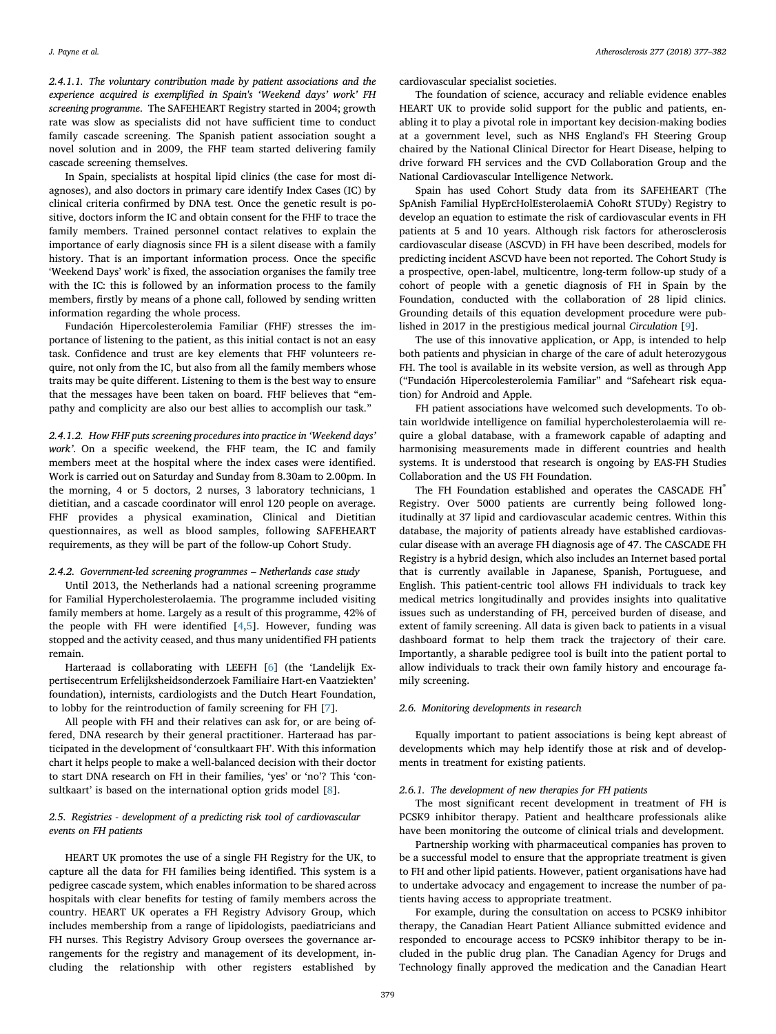*2.4.1.1. The voluntary contribution made by patient associations and the experience acquired is exemplified in Spain's 'Weekend days' work' FH screening programme*. The SAFEHEART Registry started in 2004; growth rate was slow as specialists did not have sufficient time to conduct family cascade screening. The Spanish patient association sought a novel solution and in 2009, the FHF team started delivering family cascade screening themselves.

In Spain, specialists at hospital lipid clinics (the case for most diagnoses), and also doctors in primary care identify Index Cases (IC) by clinical criteria confirmed by DNA test. Once the genetic result is positive, doctors inform the IC and obtain consent for the FHF to trace the family members. Trained personnel contact relatives to explain the importance of early diagnosis since FH is a silent disease with a family history. That is an important information process. Once the specific 'Weekend Days' work' is fixed, the association organises the family tree with the IC: this is followed by an information process to the family members, firstly by means of a phone call, followed by sending written information regarding the whole process.

Fundación Hipercolesterolemia Familiar (FHF) stresses the importance of listening to the patient, as this initial contact is not an easy task. Confidence and trust are key elements that FHF volunteers require, not only from the IC, but also from all the family members whose traits may be quite different. Listening to them is the best way to ensure that the messages have been taken on board. FHF believes that "empathy and complicity are also our best allies to accomplish our task."

*2.4.1.2. How FHF puts screening procedures into practice in 'Weekend days' work'*. On a specific weekend, the FHF team, the IC and family members meet at the hospital where the index cases were identified. Work is carried out on Saturday and Sunday from 8.30am to 2.00pm. In the morning, 4 or 5 doctors, 2 nurses, 3 laboratory technicians, 1 dietitian, and a cascade coordinator will enrol 120 people on average. FHF provides a physical examination, Clinical and Dietitian questionnaires, as well as blood samples, following SAFEHEART requirements, as they will be part of the follow-up Cohort Study.

# *2.4.2. Government-led screening programmes – Netherlands case study*

Until 2013, the Netherlands had a national screening programme for Familial Hypercholesterolaemia. The programme included visiting family members at home. Largely as a result of this programme, 42% of the people with FH were identified  $[4,5]$  $[4,5]$ . However, funding was stopped and the activity ceased, and thus many unidentified FH patients remain.

Harteraad is collaborating with LEEFH [[6](#page-5-5)] (the 'Landelijk Expertisecentrum Erfelijksheidsonderzoek Familiaire Hart-en Vaatziekten' foundation), internists, cardiologists and the Dutch Heart Foundation, to lobby for the reintroduction of family screening for FH [[7](#page-5-6)].

All people with FH and their relatives can ask for, or are being offered, DNA research by their general practitioner. Harteraad has participated in the development of 'consultkaart FH'. With this information chart it helps people to make a well-balanced decision with their doctor to start DNA research on FH in their families, 'yes' or 'no'? This 'con-sultkaart' is based on the international option grids model [\[8\]](#page-5-7).

# *2.5. Registries - development of a predicting risk tool of cardiovascular events on FH patients*

HEART UK promotes the use of a single FH Registry for the UK, to capture all the data for FH families being identified. This system is a pedigree cascade system, which enables information to be shared across hospitals with clear benefits for testing of family members across the country. HEART UK operates a FH Registry Advisory Group, which includes membership from a range of lipidologists, paediatricians and FH nurses. This Registry Advisory Group oversees the governance arrangements for the registry and management of its development, including the relationship with other registers established by

cardiovascular specialist societies.

The foundation of science, accuracy and reliable evidence enables HEART UK to provide solid support for the public and patients, enabling it to play a pivotal role in important key decision-making bodies at a government level, such as NHS England's FH Steering Group chaired by the National Clinical Director for Heart Disease, helping to drive forward FH services and the CVD Collaboration Group and the National Cardiovascular Intelligence Network.

Spain has used Cohort Study data from its SAFEHEART (The SpAnish Familial HypErcHolEsterolaemiA CohoRt STUDy) Registry to develop an equation to estimate the risk of cardiovascular events in FH patients at 5 and 10 years. Although risk factors for atherosclerosis cardiovascular disease (ASCVD) in FH have been described, models for predicting incident ASCVD have been not reported. The Cohort Study is a prospective, open-label, multicentre, long-term follow-up study of a cohort of people with a genetic diagnosis of FH in Spain by the Foundation, conducted with the collaboration of 28 lipid clinics. Grounding details of this equation development procedure were published in 2017 in the prestigious medical journal *Circulation* [\[9\]](#page-5-8).

The use of this innovative application, or App, is intended to help both patients and physician in charge of the care of adult heterozygous FH. The tool is available in its website version, as well as through App ("Fundación Hipercolesterolemia Familiar" and "Safeheart risk equation) for Android and Apple.

FH patient associations have welcomed such developments. To obtain worldwide intelligence on familial hypercholesterolaemia will require a global database, with a framework capable of adapting and harmonising measurements made in different countries and health systems. It is understood that research is ongoing by EAS-FH Studies Collaboration and the US FH Foundation.

The FH Foundation established and operates the CASCADE FH® Registry. Over 5000 patients are currently being followed longitudinally at 37 lipid and cardiovascular academic centres. Within this database, the majority of patients already have established cardiovascular disease with an average FH diagnosis age of 47. The CASCADE FH Registry is a hybrid design, which also includes an Internet based portal that is currently available in Japanese, Spanish, Portuguese, and English. This patient-centric tool allows FH individuals to track key medical metrics longitudinally and provides insights into qualitative issues such as understanding of FH, perceived burden of disease, and extent of family screening. All data is given back to patients in a visual dashboard format to help them track the trajectory of their care. Importantly, a sharable pedigree tool is built into the patient portal to allow individuals to track their own family history and encourage family screening.

### *2.6. Monitoring developments in research*

Equally important to patient associations is being kept abreast of developments which may help identify those at risk and of developments in treatment for existing patients.

# *2.6.1. The development of new therapies for FH patients*

The most significant recent development in treatment of FH is PCSK9 inhibitor therapy. Patient and healthcare professionals alike have been monitoring the outcome of clinical trials and development.

Partnership working with pharmaceutical companies has proven to be a successful model to ensure that the appropriate treatment is given to FH and other lipid patients. However, patient organisations have had to undertake advocacy and engagement to increase the number of patients having access to appropriate treatment.

For example, during the consultation on access to PCSK9 inhibitor therapy, the Canadian Heart Patient Alliance submitted evidence and responded to encourage access to PCSK9 inhibitor therapy to be included in the public drug plan. The Canadian Agency for Drugs and Technology finally approved the medication and the Canadian Heart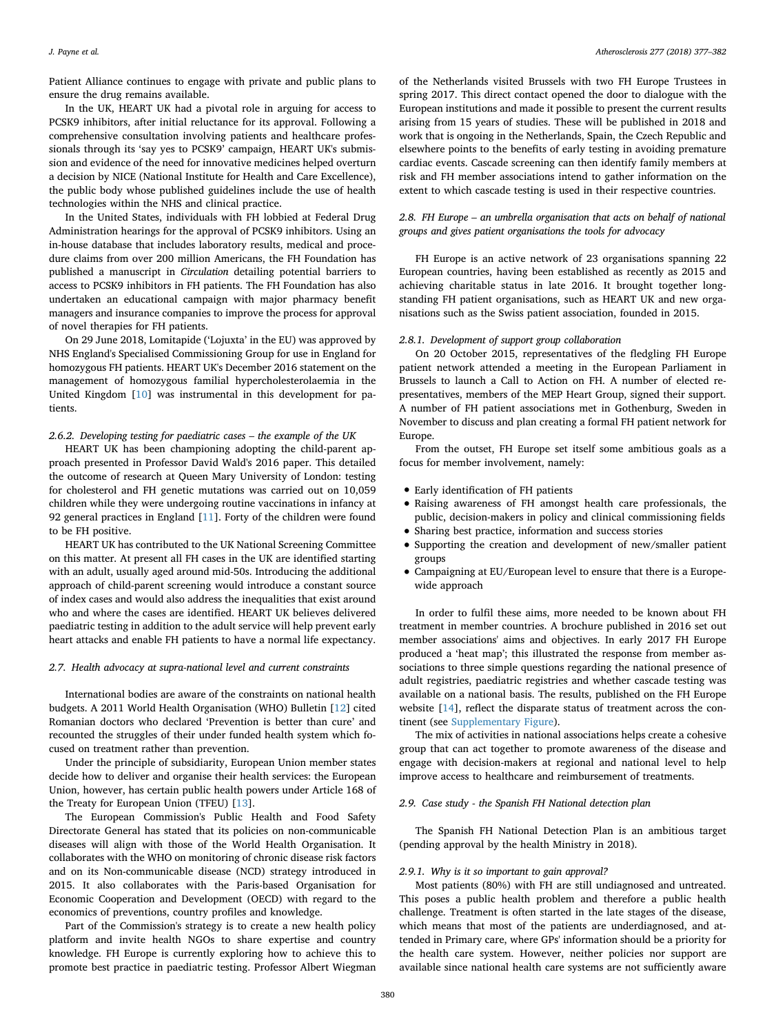Patient Alliance continues to engage with private and public plans to ensure the drug remains available.

In the UK, HEART UK had a pivotal role in arguing for access to PCSK9 inhibitors, after initial reluctance for its approval. Following a comprehensive consultation involving patients and healthcare professionals through its 'say yes to PCSK9' campaign, HEART UK's submission and evidence of the need for innovative medicines helped overturn a decision by NICE (National Institute for Health and Care Excellence), the public body whose published guidelines include the use of health technologies within the NHS and clinical practice.

In the United States, individuals with FH lobbied at Federal Drug Administration hearings for the approval of PCSK9 inhibitors. Using an in-house database that includes laboratory results, medical and procedure claims from over 200 million Americans, the FH Foundation has published a manuscript in *Circulation* detailing potential barriers to access to PCSK9 inhibitors in FH patients. The FH Foundation has also undertaken an educational campaign with major pharmacy benefit managers and insurance companies to improve the process for approval of novel therapies for FH patients.

On 29 June 2018, Lomitapide ('Lojuxta' in the EU) was approved by NHS England's Specialised Commissioning Group for use in England for homozygous FH patients. HEART UK's December 2016 statement on the management of homozygous familial hypercholesterolaemia in the United Kingdom [\[10](#page-5-9)] was instrumental in this development for patients.

## *2.6.2. Developing testing for paediatric cases – the example of the UK*

HEART UK has been championing adopting the child-parent approach presented in Professor David Wald's 2016 paper. This detailed the outcome of research at Queen Mary University of London: testing for cholesterol and FH genetic mutations was carried out on 10,059 children while they were undergoing routine vaccinations in infancy at 92 general practices in England [[11](#page-5-10)]. Forty of the children were found to be FH positive.

HEART UK has contributed to the UK National Screening Committee on this matter. At present all FH cases in the UK are identified starting with an adult, usually aged around mid-50s. Introducing the additional approach of child-parent screening would introduce a constant source of index cases and would also address the inequalities that exist around who and where the cases are identified. HEART UK believes delivered paediatric testing in addition to the adult service will help prevent early heart attacks and enable FH patients to have a normal life expectancy.

#### *2.7. Health advocacy at supra-national level and current constraints*

International bodies are aware of the constraints on national health budgets. A 2011 World Health Organisation (WHO) Bulletin [[12\]](#page-5-11) cited Romanian doctors who declared 'Prevention is better than cure' and recounted the struggles of their under funded health system which focused on treatment rather than prevention.

Under the principle of subsidiarity, European Union member states decide how to deliver and organise their health services: the European Union, however, has certain public health powers under Article 168 of the Treaty for European Union (TFEU) [\[13](#page-5-12)].

The European Commission's Public Health and Food Safety Directorate General has stated that its policies on non-communicable diseases will align with those of the World Health Organisation. It collaborates with the WHO on monitoring of chronic disease risk factors and on its Non-communicable disease (NCD) strategy introduced in 2015. It also collaborates with the Paris-based Organisation for Economic Cooperation and Development (OECD) with regard to the economics of preventions, country profiles and knowledge.

Part of the Commission's strategy is to create a new health policy platform and invite health NGOs to share expertise and country knowledge. FH Europe is currently exploring how to achieve this to promote best practice in paediatric testing. Professor Albert Wiegman of the Netherlands visited Brussels with two FH Europe Trustees in spring 2017. This direct contact opened the door to dialogue with the European institutions and made it possible to present the current results arising from 15 years of studies. These will be published in 2018 and work that is ongoing in the Netherlands, Spain, the Czech Republic and elsewhere points to the benefits of early testing in avoiding premature cardiac events. Cascade screening can then identify family members at risk and FH member associations intend to gather information on the extent to which cascade testing is used in their respective countries.

# *2.8. FH Europe – an umbrella organisation that acts on behalf of national groups and gives patient organisations the tools for advocacy*

FH Europe is an active network of 23 organisations spanning 22 European countries, having been established as recently as 2015 and achieving charitable status in late 2016. It brought together longstanding FH patient organisations, such as HEART UK and new organisations such as the Swiss patient association, founded in 2015.

#### *2.8.1. Development of support group collaboration*

On 20 October 2015, representatives of the fledgling FH Europe patient network attended a meeting in the European Parliament in Brussels to launch a Call to Action on FH. A number of elected representatives, members of the MEP Heart Group, signed their support. A number of FH patient associations met in Gothenburg, Sweden in November to discuss and plan creating a formal FH patient network for Europe.

From the outset, FH Europe set itself some ambitious goals as a focus for member involvement, namely:

- Early identification of FH patients
- Raising awareness of FH amongst health care professionals, the public, decision-makers in policy and clinical commissioning fields
- Sharing best practice, information and success stories
- Supporting the creation and development of new/smaller patient groups
- Campaigning at EU/European level to ensure that there is a Europewide approach

In order to fulfil these aims, more needed to be known about FH treatment in member countries. A brochure published in 2016 set out member associations' aims and objectives. In early 2017 FH Europe produced a 'heat map'; this illustrated the response from member associations to three simple questions regarding the national presence of adult registries, paediatric registries and whether cascade testing was available on a national basis. The results, published on the FH Europe website [[14\]](#page-5-13), reflect the disparate status of treatment across the continent (see Supplementary Figure).

The mix of activities in national associations helps create a cohesive group that can act together to promote awareness of the disease and engage with decision-makers at regional and national level to help improve access to healthcare and reimbursement of treatments.

# *2.9. Case study - the Spanish FH National detection plan*

The Spanish FH National Detection Plan is an ambitious target (pending approval by the health Ministry in 2018).

# *2.9.1. Why is it so important to gain approval?*

Most patients (80%) with FH are still undiagnosed and untreated. This poses a public health problem and therefore a public health challenge. Treatment is often started in the late stages of the disease, which means that most of the patients are underdiagnosed, and attended in Primary care, where GPs' information should be a priority for the health care system. However, neither policies nor support are available since national health care systems are not sufficiently aware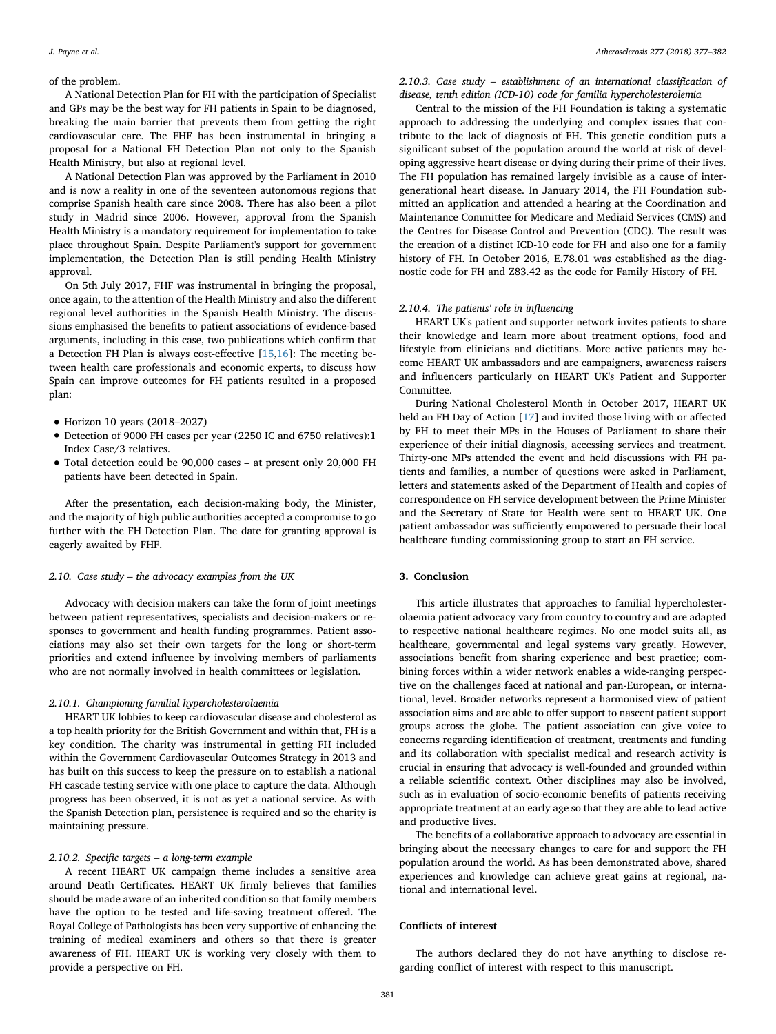## of the problem.

A National Detection Plan for FH with the participation of Specialist and GPs may be the best way for FH patients in Spain to be diagnosed, breaking the main barrier that prevents them from getting the right cardiovascular care. The FHF has been instrumental in bringing a proposal for a National FH Detection Plan not only to the Spanish Health Ministry, but also at regional level.

A National Detection Plan was approved by the Parliament in 2010 and is now a reality in one of the seventeen autonomous regions that comprise Spanish health care since 2008. There has also been a pilot study in Madrid since 2006. However, approval from the Spanish Health Ministry is a mandatory requirement for implementation to take place throughout Spain. Despite Parliament's support for government implementation, the Detection Plan is still pending Health Ministry approval.

On 5th July 2017, FHF was instrumental in bringing the proposal, once again, to the attention of the Health Ministry and also the different regional level authorities in the Spanish Health Ministry. The discussions emphasised the benefits to patient associations of evidence-based arguments, including in this case, two publications which confirm that a Detection FH Plan is always cost-effective [\[15](#page-5-14),[16\]](#page-5-15): The meeting between health care professionals and economic experts, to discuss how Spain can improve outcomes for FH patients resulted in a proposed plan:

- Horizon 10 years (2018–2027)
- Detection of 9000 FH cases per year (2250 IC and 6750 relatives):1 Index Case/3 relatives.
- Total detection could be 90,000 cases at present only 20,000 FH patients have been detected in Spain.

After the presentation, each decision-making body, the Minister, and the majority of high public authorities accepted a compromise to go further with the FH Detection Plan. The date for granting approval is eagerly awaited by FHF.

# *2.10. Case study – the advocacy examples from the UK*

Advocacy with decision makers can take the form of joint meetings between patient representatives, specialists and decision-makers or responses to government and health funding programmes. Patient associations may also set their own targets for the long or short-term priorities and extend influence by involving members of parliaments who are not normally involved in health committees or legislation.

# *2.10.1. Championing familial hypercholesterolaemia*

HEART UK lobbies to keep cardiovascular disease and cholesterol as a top health priority for the British Government and within that, FH is a key condition. The charity was instrumental in getting FH included within the Government Cardiovascular Outcomes Strategy in 2013 and has built on this success to keep the pressure on to establish a national FH cascade testing service with one place to capture the data. Although progress has been observed, it is not as yet a national service. As with the Spanish Detection plan, persistence is required and so the charity is maintaining pressure.

# *2.10.2. Specific targets – a long-term example*

A recent HEART UK campaign theme includes a sensitive area around Death Certificates. HEART UK firmly believes that families should be made aware of an inherited condition so that family members have the option to be tested and life-saving treatment offered. The Royal College of Pathologists has been very supportive of enhancing the training of medical examiners and others so that there is greater awareness of FH. HEART UK is working very closely with them to provide a perspective on FH.

*2.10.3. Case study – establishment of an international classification of disease, tenth edition (ICD-10) code for familia hypercholesterolemia*

Central to the mission of the FH Foundation is taking a systematic approach to addressing the underlying and complex issues that contribute to the lack of diagnosis of FH. This genetic condition puts a significant subset of the population around the world at risk of developing aggressive heart disease or dying during their prime of their lives. The FH population has remained largely invisible as a cause of intergenerational heart disease. In January 2014, the FH Foundation submitted an application and attended a hearing at the Coordination and Maintenance Committee for Medicare and Mediaid Services (CMS) and the Centres for Disease Control and Prevention (CDC). The result was the creation of a distinct ICD-10 code for FH and also one for a family history of FH. In October 2016, E.78.01 was established as the diagnostic code for FH and Z83.42 as the code for Family History of FH.

# *2.10.4. The patients' role in influencing*

HEART UK's patient and supporter network invites patients to share their knowledge and learn more about treatment options, food and lifestyle from clinicians and dietitians. More active patients may become HEART UK ambassadors and are campaigners, awareness raisers and influencers particularly on HEART UK's Patient and Supporter Committee.

During National Cholesterol Month in October 2017, HEART UK held an FH Day of Action [[17\]](#page-5-16) and invited those living with or affected by FH to meet their MPs in the Houses of Parliament to share their experience of their initial diagnosis, accessing services and treatment. Thirty-one MPs attended the event and held discussions with FH patients and families, a number of questions were asked in Parliament, letters and statements asked of the Department of Health and copies of correspondence on FH service development between the Prime Minister and the Secretary of State for Health were sent to HEART UK. One patient ambassador was sufficiently empowered to persuade their local healthcare funding commissioning group to start an FH service.

## **3. Conclusion**

This article illustrates that approaches to familial hypercholesterolaemia patient advocacy vary from country to country and are adapted to respective national healthcare regimes. No one model suits all, as healthcare, governmental and legal systems vary greatly. However, associations benefit from sharing experience and best practice; combining forces within a wider network enables a wide-ranging perspective on the challenges faced at national and pan-European, or international, level. Broader networks represent a harmonised view of patient association aims and are able to offer support to nascent patient support groups across the globe. The patient association can give voice to concerns regarding identification of treatment, treatments and funding and its collaboration with specialist medical and research activity is crucial in ensuring that advocacy is well-founded and grounded within a reliable scientific context. Other disciplines may also be involved, such as in evaluation of socio-economic benefits of patients receiving appropriate treatment at an early age so that they are able to lead active and productive lives.

The benefits of a collaborative approach to advocacy are essential in bringing about the necessary changes to care for and support the FH population around the world. As has been demonstrated above, shared experiences and knowledge can achieve great gains at regional, national and international level.

# **Conflicts of interest**

The authors declared they do not have anything to disclose regarding conflict of interest with respect to this manuscript.